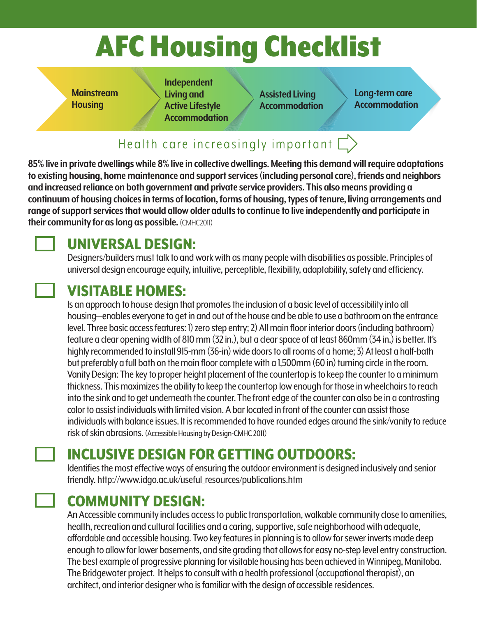## AFC Housing Checklist

**Mainstream Housing**

**Independent Living and Active Lifestyle Accommodation**

**Assisted Living Accommodation** **Long-term care Accommodation**

#### Health care increasingly important  $\Box$

**85% live in private dwellings while 8% live in collective dwellings. Meeting this demand will require adaptations to existing housing, home maintenance and support services (including personal care), friends and neighbors and increased reliance on both government and private service providers. This also means providing a continuum of housing choices in terms of location, forms of housing, types of tenure, living arrangements and range of support services that would allow older adults to continue to live independently and participate in their community for as long as possible.** (CMHC2011)

#### UNIVERSAL DESIGN:

Designers/builders must talk to and work with as many people with disabilities as possible. Principles of universal design encourage equity, intuitive, perceptible, flexibility, adaptability, safety and efficiency.

#### VISITABLE HOMES:

Is an approach to house design that promotes the inclusion of a basic level of accessibility into all housing—enables everyone to get in and out of the house and be able to use a bathroom on the entrance level. Three basic access features: 1) zero step entry; 2) All main floor interior doors (including bathroom) feature a clear opening width of 810 mm (32 in.), but a clear space of at least 860mm (34 in.) is better. It's highly recommended to install 915-mm (36-in) wide doors to all rooms of a home; 3) At least a half-bath but preferably a full bath on the main floor complete with a 1,500mm (60 in) turning circle in the room. Vanity Design: The key to proper height placement of the countertop is to keep the counter to a minimum thickness. This maximizes the ability to keep the countertop low enough for those in wheelchairs to reach into the sink and to get underneath the counter. The front edge of the counter can also be in a contrasting color to assist individuals with limited vision. A bar located in front of the counter can assist those individuals with balance issues. It is recommended to have rounded edges around the sink/vanity to reduce risk of skin abrasions. (Accessible Housing by Design-CMHC 2011)

### INCLUSIVE DESIGN FOR GETTING OUTDOORS:

Identifies the most effective ways of ensuring the outdoor environment is designed inclusively and senior friendly. http://www.idgo.ac.uk/useful\_resources/publications.htm

#### COMMUNITY DESIGN:

An Accessible community includes access to public transportation, walkable community close to amenities, health, recreation and cultural facilities and a caring, supportive, safe neighborhood with adequate, affordable and accessible housing. Two key features in planning is to allow for sewer inverts made deep enough to allow for lower basements, and site grading that allows for easy no-step level entry construction. The best example of progressive planning for visitable housing has been achieved in Winnipeg, Manitoba. The Bridgewater project. It helps to consult with a health professional (occupational therapist), an architect, and interior designer who is familiar with the design of accessible residences.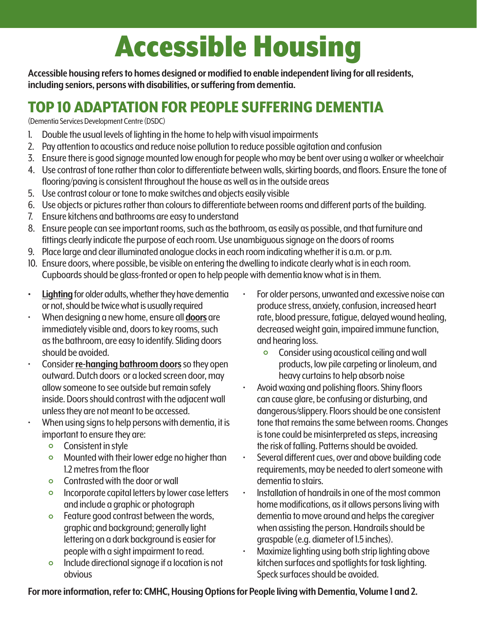## Accessible Housing

**Accessible housing refers to homes designed or modified to enable independent living for all residents, including seniors, persons with disabilities, or suffering from dementia.**

#### TOP 10 ADAPTATION FOR PEOPLE SUFFERING DEMENTIA

(Dementia Services Development Centre (DSDC)

- 1. Double the usual levels of lighting in the home to help with visual impairments
- 2. Pay attention to acoustics and reduce noise pollution to reduce possible agitation and confusion
- 3. Ensure there is good signage mounted low enough for people who may be bent over using a walker or wheelchair
- 4. Use contrast of tone rather than color to differentiate between walls, skirting boards, and floors. Ensure the tone of flooring/paving is consistent throughout the house as well as in the outside areas
- 5. Use contrast colour or tone to make switches and objects easily visible
- 6. Use objects or pictures rather than colours to differentiate between rooms and different parts of the building.
- 7. Ensure kitchens and bathrooms are easy to understand
- 8. Ensure people can see important rooms, such as the bathroom, as easily as possible, and that furniture and fittings clearly indicate the purpose of each room. Use unambiguous signage on the doors of rooms
- 9. Place large and clear illuminated analogue clocks in each room indicating whether it is a.m. or p.m.
- 10. Ensure doors, where possible, be visible on entering the dwelling to indicate clearly what is in each room. Cupboards should be glass-fronted or open to help people with dementia know what is in them.
- **• Lighting** for older adults, whether they have dementia or not, should be twice what is usually required • When designing a new home, ensure all **doors** are
- immediately visible and, doors to key rooms, such as the bathroom, are easy to identify. Sliding doors should be avoided. • Consider **re-hanging bathroom doors** so they open
- outward. Dutch doors or a locked screen door, may allow someone to see outside but remain safely inside. Doors should contrast with the adjacent wall unless they are not meant to be accessed.
- When using signs to help persons with dementia, it is important to ensure they are:
	-
	- Consistent in style<br>• Mounted with their lower edge no higher than<br>1.2 metres from the floor
	-
	- $\circ$  Contrasted with the door or wall  $\circ$  Incorporate capital letters by lower case letters and include a graphic or photograph
	- $\circ$  Feature good contrast between the words, graphic and background; generally light lettering on a dark background is easier for people with a sight impairment to read.
	- Include directional signage if a location is not obvious
- For older persons, unwanted and excessive noise can produce stress, anxiety, confusion, increased heart rate, blood pressure, fatigue, delayed wound healing, decreased weight gain, impaired immune function, and hearing loss.
	- Consider using acoustical ceiling and wall products, low pile carpeting or linoleum, and heavy curtains to help absorb noise • Avoid waxing and polishing floors. Shiny floors
- can cause glare, be confusing or disturbing, and dangerous/slippery. Floors should be one consistent tone that remains the same between rooms. Changes is tone could be misinterpreted as steps, increasing the risk of falling. Patterns should be avoided.<br>Several different cues, over and above building code
- requirements, may be needed to alert someone with dementia to stairs.<br>Installation of handrails in one of the most common
- home modifications, as it allows persons living with dementia to move around and helps the caregiver when assisting the person. Handrails should be
- graspable (e.g. diameter of 1.5 inches). Maximize lighting using both strip lighting above kitchen surfaces and spotlights for task lighting. Speck surfaces should be avoided.

**For more information, refer to: CMHC, Housing Options for People living with Dementia, Volume 1 and 2.**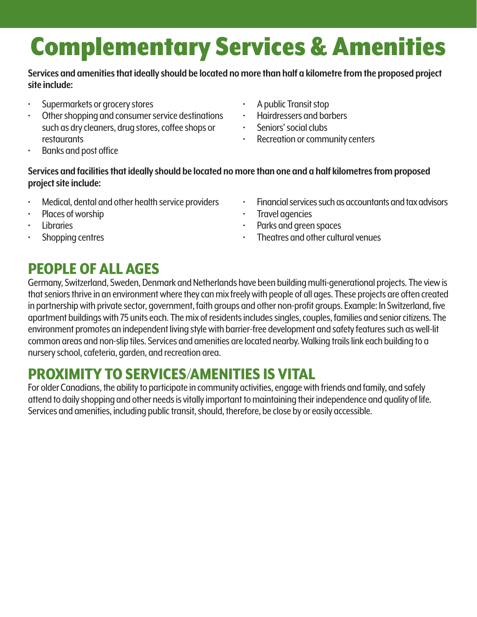### Complementary Services & Amenities

#### **Services and amenities that ideally should be located no more than half a kilometre from the proposed project site include:**

- Supermarkets or grocery stores
- Other shopping and consumer service destinations such as dry cleaners, drug stores, coffee shops or restaurants
- Banks and post office
- A public Transit stop
- Hairdressers and barbers
- Seniors' social clubs
- Recreation or community centers

#### **Services and facilities that ideally should be located no more than one and a half kilometres from proposed project site include:**

- Medical, dental and other health service providers
- Places of worship<br>• Libraries
- 
- Shopping centres
- Financial services such as accountants and tax advisors
- 
- Travel agencies Parks and green spaces
- Theatres and other cultural venues

#### PEOPLE OF ALL AGES

Germany, Switzerland, Sweden, Denmark and Netherlands have been building multi-generational projects. The view is that seniors thrive in an environment where they can mix freely with people of all ages. These projects are often created in partnership with private sector, government, faith groups and other non-profit groups. Example: In Switzerland, five apartment buildings with 75 units each. The mix of residents includes singles, couples, families and senior citizens. The environment promotes an independent living style with barrier-free development and safety features such as well-lit common areas and non-slip tiles. Services and amenities are located nearby. Walking trails link each building to a nursery school, cafeteria, garden, and recreation area.

#### PROXIMITY TO SERVICES/AMENITIES IS VITAL

For older Canadians, the ability to participate in community activities, engage with friends and family, and safely attend to daily shopping and other needs is vitally important to maintaining their independence and quality of life. Services and amenities, including public transit, should, therefore, be close by or easily accessible.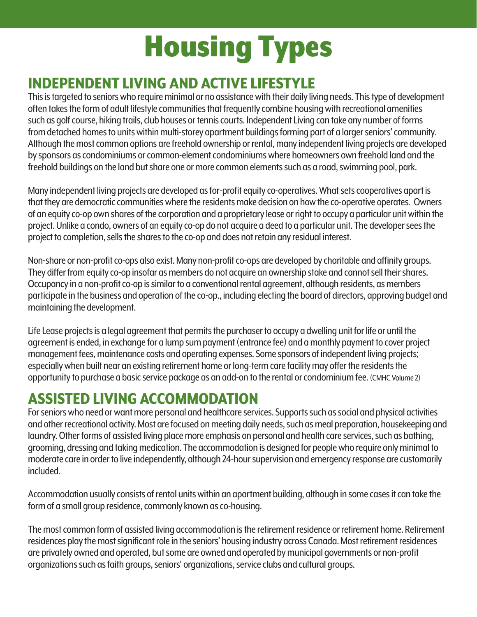# Housing Types

#### INDEPENDENT LIVING AND ACTIVE LIFESTYLE

This is targeted to seniors who require minimal or no assistance with their daily living needs. This type of development often takes the form of adult lifestyle communities that frequently combine housing with recreational amenities such as golf course, hiking trails, club houses or tennis courts. Independent Living can take any number of forms from detached homes to units within multi-storey apartment buildings forming part of a larger seniors' community. Although the most common options are freehold ownership or rental, many independent living projects are developed by sponsors as condominiums or common-element condominiums where homeowners own freehold land and the freehold buildings on the land but share one or more common elements such as a road, swimming pool, park.

Many independent living projects are developed as for-profit equity co-operatives. What sets cooperatives apart is that they are democratic communities where the residents make decision on how the co-operative operates. Owners of an equity co-op own shares of the corporation and a proprietary lease or right to occupy a particular unit within the project. Unlike a condo, owners of an equity co-op do not acquire a deed to a particular unit. The developer sees the project to completion, sells the shares to the co-op and does not retain any residual interest.

Non-share or non-profit co-ops also exist. Many non-profit co-ops are developed by charitable and affinity groups. They differ from equity co-op insofar as members do not acquire an ownership stake and cannot sell their shares. Occupancy in a non-profit co-op is similar to a conventional rental agreement, although residents, as members participate in the business and operation of the co-op., including electing the board of directors, approving budget and maintaining the development.

Life Lease projects is a legal agreement that permits the purchaser to occupy a dwelling unit for life or until the agreement is ended, in exchange for a lump sum payment (entrance fee) and a monthly payment to cover project management fees, maintenance costs and operating expenses. Some sponsors of independent living projects; especially when built near an existing retirement home or long-term care facility may offer the residents the opportunity to purchase a basic service package as an add-on to the rental or condominium fee. (CMHC Volume 2)

#### ASSISTED LIVING ACCOMMODATION

For seniors who need or want more personal and healthcare services. Supports such as social and physical activities and other recreational activity. Most are focused on meeting daily needs, such as meal preparation, housekeeping and laundry. Other forms of assisted living place more emphasis on personal and health care services, such as bathing, grooming, dressing and taking medication. The accommodation is designed for people who require only minimal to moderate care in order to live independently, although 24-hour supervision and emergency response are customarily included.

Accommodation usually consists of rental units within an apartment building, although in some cases it can take the form of a small group residence, commonly known as co-housing.

The most common form of assisted living accommodation is the retirement residence or retirement home. Retirement residences play the most significant role in the seniors' housing industry across Canada. Most retirement residences are privately owned and operated, but some are owned and operated by municipal governments or non-profit organizations such as faith groups, seniors' organizations, service clubs and cultural groups.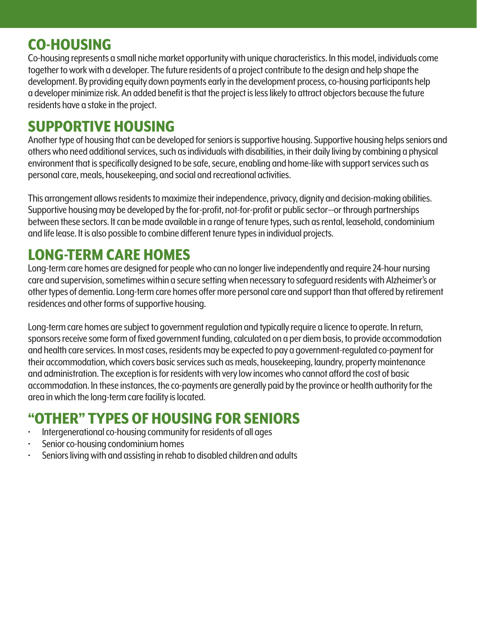#### CO-HOUSING

Co-housing represents a small niche market opportunity with unique characteristics. In this model, individuals come together to work with a developer. The future residents of a project contribute to the design and help shape the development. By providing equity down payments early in the development process, co-housing participants help a developer minimize risk. An added benefit is that the project is less likely to attract objectors because the future residents have a stake in the project.

#### SUPPORTIVE HOUSING

Another type of housing that can be developed for seniors is supportive housing. Supportive housing helps seniors and others who need additional services, such as individuals with disabilities, in their daily living by combining a physical environment that is specifically designed to be safe, secure, enabling and home-like with support services such as personal care, meals, housekeeping, and social and recreational activities.

This arrangement allows residents to maximize their independence, privacy, dignity and decision-making abilities. Supportive housing may be developed by the for-profit, not-for-profit or public sector—or through partnerships between these sectors. It can be made available in a range of tenure types, such as rental, leasehold, condominium and life lease. It is also possible to combine different tenure types in individual projects.

#### LONG-TERM CARE HOMES

Long-term care homes are designed for people who can no longer live independently and require 24-hour nursing care and supervision, sometimes within a secure setting when necessary to safeguard residents with Alzheimer's or other types of dementia. Long-term care homes offer more personal care and support than that offered by retirement residences and other forms of supportive housing.

Long-term care homes are subject to government regulation and typically require a licence to operate. In return, sponsors receive some form of fixed government funding, calculated on a per diem basis, to provide accommodation and health care services. In most cases, residents may be expected to pay a government-regulated co-payment for their accommodation, which covers basic services such as meals, housekeeping, laundry, property maintenance and administration. The exception is for residents with very low incomes who cannot afford the cost of basic accommodation. In these instances, the co-payments are generally paid by the province or health authority for the area in which the long-term care facility is located.

### "OTHER" TYPES OF HOUSING FOR SENIORS<br>The intergenerational co-housing community for residents of all ages

- 
- 
- Senior co-housing condominium homes<br>Seniors living with and assisting in rehab to disabled children and adults